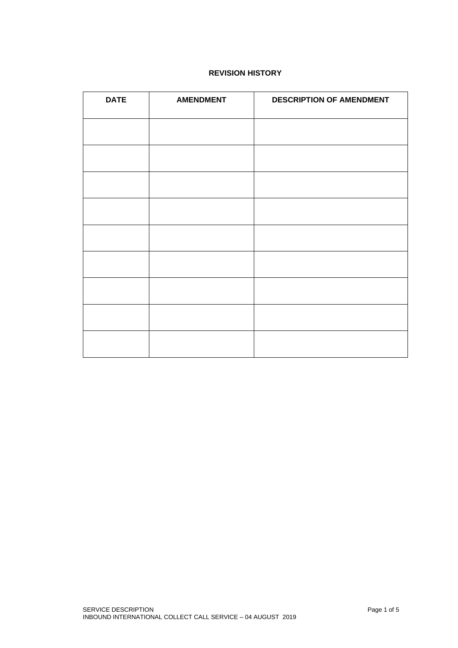# **REVISION HISTORY**

| <b>DATE</b> | <b>AMENDMENT</b> | <b>DESCRIPTION OF AMENDMENT</b> |
|-------------|------------------|---------------------------------|
|             |                  |                                 |
|             |                  |                                 |
|             |                  |                                 |
|             |                  |                                 |
|             |                  |                                 |
|             |                  |                                 |
|             |                  |                                 |
|             |                  |                                 |
|             |                  |                                 |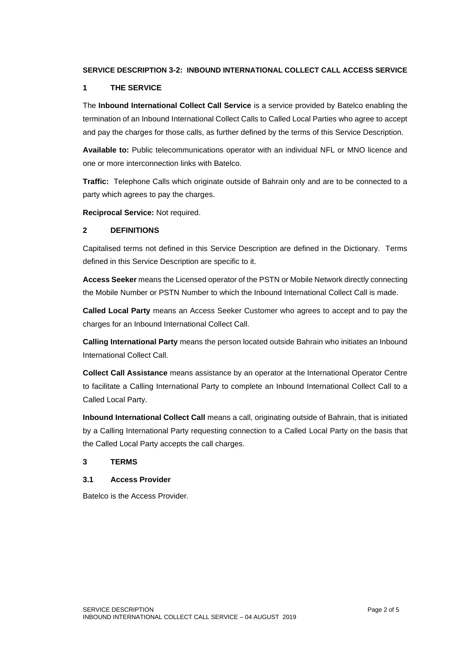### **SERVICE DESCRIPTION 3-2: INBOUND INTERNATIONAL COLLECT CALL ACCESS SERVICE**

#### **1 THE SERVICE**

The **Inbound International Collect Call Service** is a service provided by Batelco enabling the termination of an Inbound International Collect Calls to Called Local Parties who agree to accept and pay the charges for those calls, as further defined by the terms of this Service Description.

**Available to:** Public telecommunications operator with an individual NFL or MNO licence and one or more interconnection links with Batelco.

**Traffic:** Telephone Calls which originate outside of Bahrain only and are to be connected to a party which agrees to pay the charges.

**Reciprocal Service:** Not required.

### **2 DEFINITIONS**

Capitalised terms not defined in this Service Description are defined in the Dictionary. Terms defined in this Service Description are specific to it.

**Access Seeker** means the Licensed operator of the PSTN or Mobile Network directly connecting the Mobile Number or PSTN Number to which the Inbound International Collect Call is made.

**Called Local Party** means an Access Seeker Customer who agrees to accept and to pay the charges for an Inbound International Collect Call.

**Calling International Party** means the person located outside Bahrain who initiates an Inbound International Collect Call.

**Collect Call Assistance** means assistance by an operator at the International Operator Centre to facilitate a Calling International Party to complete an Inbound International Collect Call to a Called Local Party.

**Inbound International Collect Call** means a call, originating outside of Bahrain, that is initiated by a Calling International Party requesting connection to a Called Local Party on the basis that the Called Local Party accepts the call charges.

#### **3 TERMS**

#### **3.1 Access Provider**

Batelco is the Access Provider.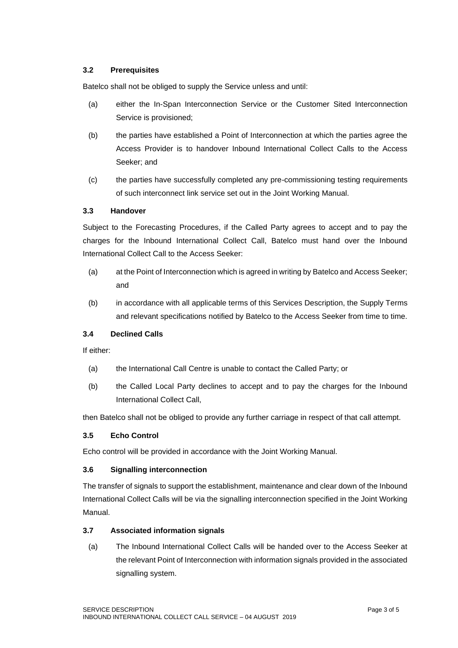### **3.2 Prerequisites**

Batelco shall not be obliged to supply the Service unless and until:

- (a) either the In-Span Interconnection Service or the Customer Sited Interconnection Service is provisioned;
- (b) the parties have established a Point of Interconnection at which the parties agree the Access Provider is to handover Inbound International Collect Calls to the Access Seeker; and
- (c) the parties have successfully completed any pre-commissioning testing requirements of such interconnect link service set out in the Joint Working Manual.

#### **3.3 Handover**

Subject to the Forecasting Procedures, if the Called Party agrees to accept and to pay the charges for the Inbound International Collect Call, Batelco must hand over the Inbound International Collect Call to the Access Seeker:

- (a) at the Point of Interconnection which is agreed in writing by Batelco and Access Seeker; and
- (b) in accordance with all applicable terms of this Services Description, the Supply Terms and relevant specifications notified by Batelco to the Access Seeker from time to time.

### **3.4 Declined Calls**

If either:

- (a) the International Call Centre is unable to contact the Called Party; or
- (b) the Called Local Party declines to accept and to pay the charges for the Inbound International Collect Call,

then Batelco shall not be obliged to provide any further carriage in respect of that call attempt.

#### **3.5 Echo Control**

Echo control will be provided in accordance with the Joint Working Manual.

#### **3.6 Signalling interconnection**

The transfer of signals to support the establishment, maintenance and clear down of the Inbound International Collect Calls will be via the signalling interconnection specified in the Joint Working Manual.

#### **3.7 Associated information signals**

(a) The Inbound International Collect Calls will be handed over to the Access Seeker at the relevant Point of Interconnection with information signals provided in the associated signalling system.